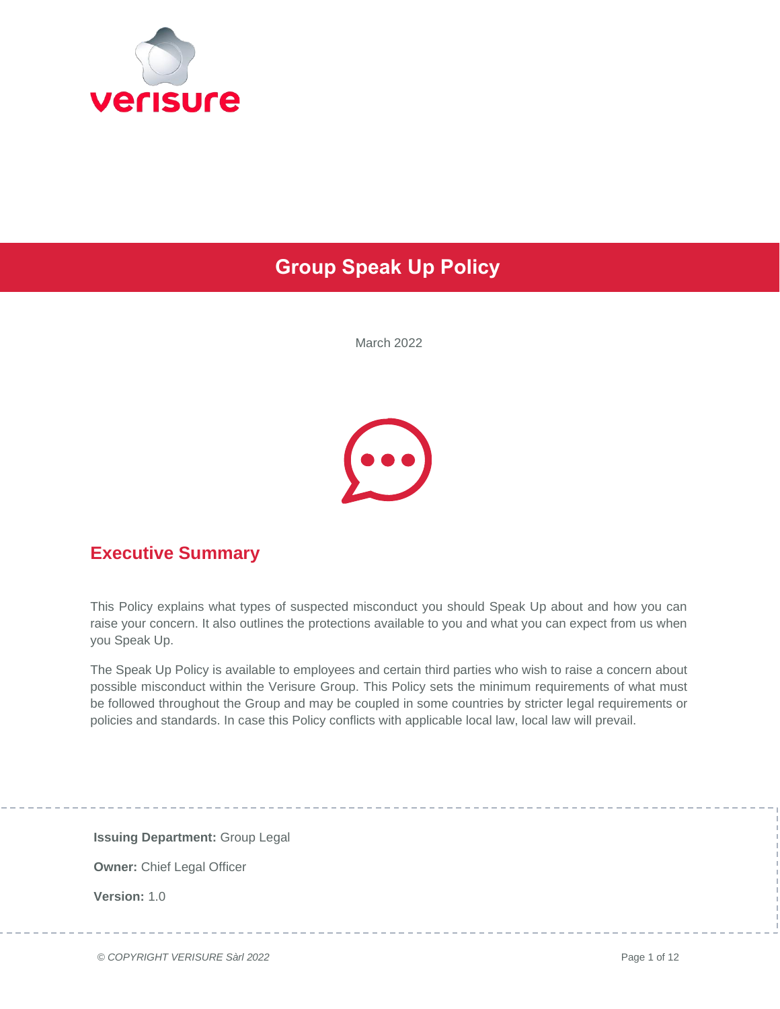

## **Group Speak Up Policy**

March 2022



### **Executive Summary**

This Policy explains what types of suspected misconduct you should Speak Up about and how you can raise your concern. It also outlines the protections available to you and what you can expect from us when you Speak Up.

The Speak Up Policy is available to employees and certain third parties who wish to raise a concern about possible misconduct within the Verisure Group. This Policy sets the minimum requirements of what must be followed throughout the Group and may be coupled in some countries by stricter legal requirements or policies and standards. In case this Policy conflicts with applicable local law, local law will prevail.

**Issuing Department:** Group Legal **Owner:** Chief Legal Officer **Version:** 1.0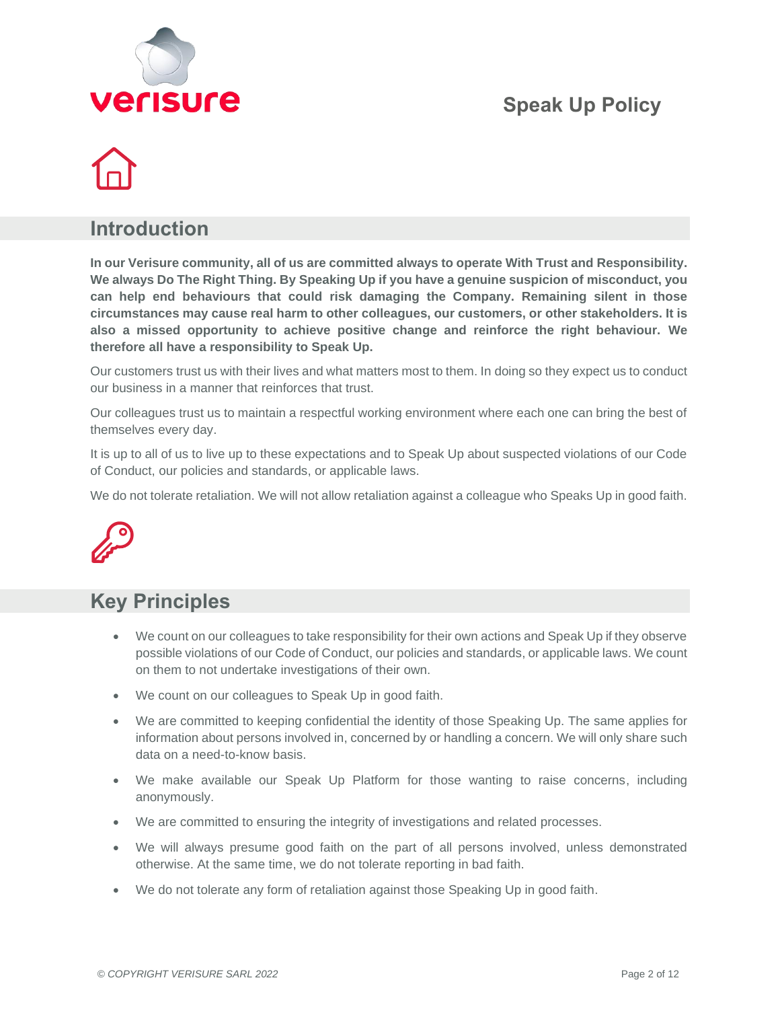



### **Introduction**

**In our Verisure community, all of us are committed always to operate With Trust and Responsibility. We always Do The Right Thing. By Speaking Up if you have a genuine suspicion of misconduct, you can help end behaviours that could risk damaging the Company. Remaining silent in those circumstances may cause real harm to other colleagues, our customers, or other stakeholders. It is also a missed opportunity to achieve positive change and reinforce the right behaviour. We therefore all have a responsibility to Speak Up.**

Our customers trust us with their lives and what matters most to them. In doing so they expect us to conduct our business in a manner that reinforces that trust.

Our colleagues trust us to maintain a respectful working environment where each one can bring the best of themselves every day.

It is up to all of us to live up to these expectations and to Speak Up about suspected violations of our Code of Conduct, our policies and standards, or applicable laws.

We do not tolerate retaliation. We will not allow retaliation against a colleague who Speaks Up in good faith.



### **Key Principles**

- We count on our colleagues to take responsibility for their own actions and Speak Up if they observe possible violations of our Code of Conduct, our policies and standards, or applicable laws. We count on them to not undertake investigations of their own.
- We count on our colleagues to Speak Up in good faith.
- We are committed to keeping confidential the identity of those Speaking Up. The same applies for information about persons involved in, concerned by or handling a concern. We will only share such data on a need-to-know basis.
- We make available our Speak Up Platform for those wanting to raise concerns, including anonymously.
- We are committed to ensuring the integrity of investigations and related processes.
- We will always presume good faith on the part of all persons involved, unless demonstrated otherwise. At the same time, we do not tolerate reporting in bad faith.
- We do not tolerate any form of retaliation against those Speaking Up in good faith.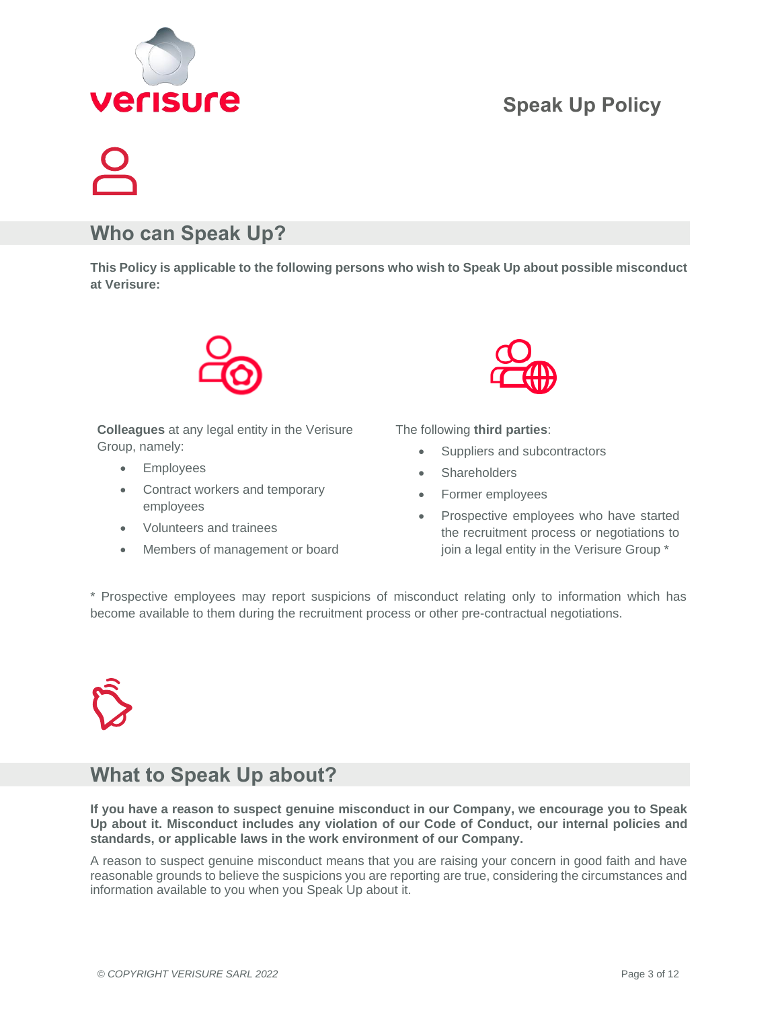

### **Who can Speak Up?**

**This Policy is applicable to the following persons who wish to Speak Up about possible misconduct at Verisure:**



**Colleagues** at any legal entity in the Verisure Group, namely:

- Employees
- Contract workers and temporary employees
- Volunteers and trainees
- Members of management or board



The following **third parties**:

- Suppliers and subcontractors
- **Shareholders**
- Former employees
- Prospective employees who have started the recruitment process or negotiations to join a legal entity in the Verisure Group \*

\* Prospective employees may report suspicions of misconduct relating only to information which has become available to them during the recruitment process or other pre-contractual negotiations.



### **What to Speak Up about?**

**If you have a reason to suspect genuine misconduct in our Company, we encourage you to Speak Up about it. Misconduct includes any violation of our Code of Conduct, our internal policies and standards, or applicable laws in the work environment of our Company.** 

A reason to suspect genuine misconduct means that you are raising your concern in good faith and have reasonable grounds to believe the suspicions you are reporting are true, considering the circumstances and information available to you when you Speak Up about it.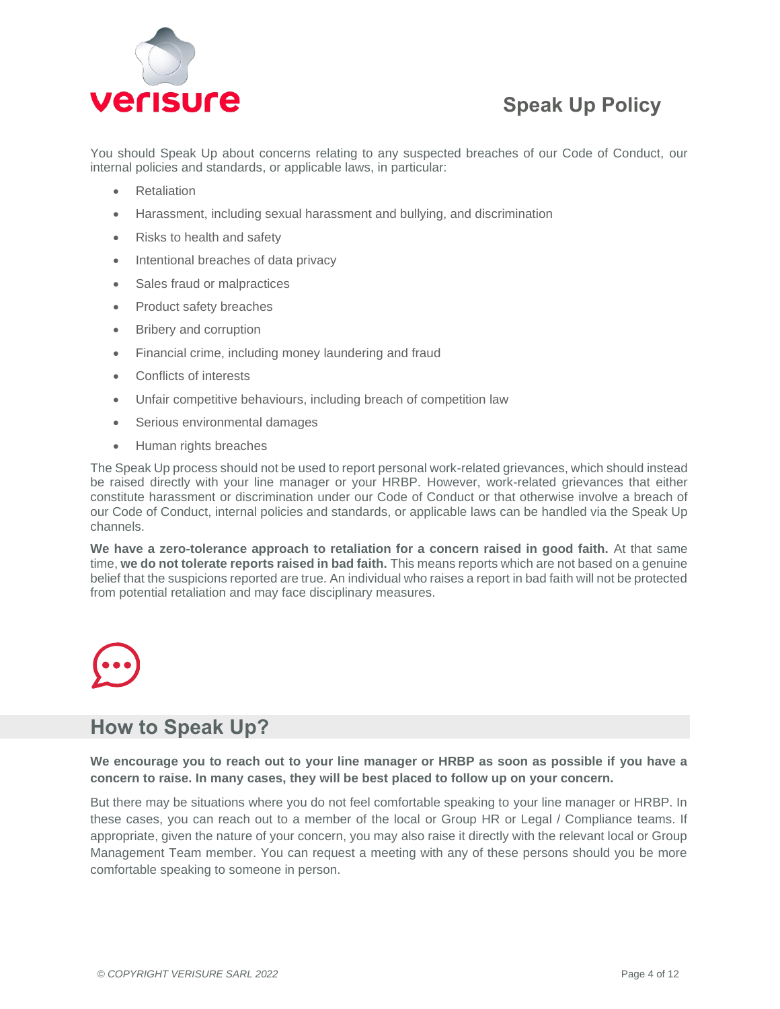

You should Speak Up about concerns relating to any suspected breaches of our Code of Conduct, our internal policies and standards, or applicable laws, in particular:

- **Retaliation**
- Harassment, including sexual harassment and bullying, and discrimination
- Risks to health and safety
- Intentional breaches of data privacy
- Sales fraud or malpractices
- Product safety breaches
- Bribery and corruption
- Financial crime, including money laundering and fraud
- Conflicts of interests
- Unfair competitive behaviours, including breach of competition law
- Serious environmental damages
- Human rights breaches

The Speak Up process should not be used to report personal work-related grievances, which should instead be raised directly with your line manager or your HRBP. However, work-related grievances that either constitute harassment or discrimination under our Code of Conduct or that otherwise involve a breach of our Code of Conduct, internal policies and standards, or applicable laws can be handled via the Speak Up channels.

**We have a zero-tolerance approach to retaliation for a concern raised in good faith.** At that same time, **we do not tolerate reports raised in bad faith.** This means reports which are not based on a genuine belief that the suspicions reported are true. An individual who raises a report in bad faith will not be protected from potential retaliation and may face disciplinary measures.



### **How to Speak Up?**

### **We encourage you to reach out to your line manager or HRBP as soon as possible if you have a concern to raise. In many cases, they will be best placed to follow up on your concern.**

But there may be situations where you do not feel comfortable speaking to your line manager or HRBP. In these cases, you can reach out to a member of the local or Group HR or Legal / Compliance teams. If appropriate, given the nature of your concern, you may also raise it directly with the relevant local or Group Management Team member. You can request a meeting with any of these persons should you be more comfortable speaking to someone in person.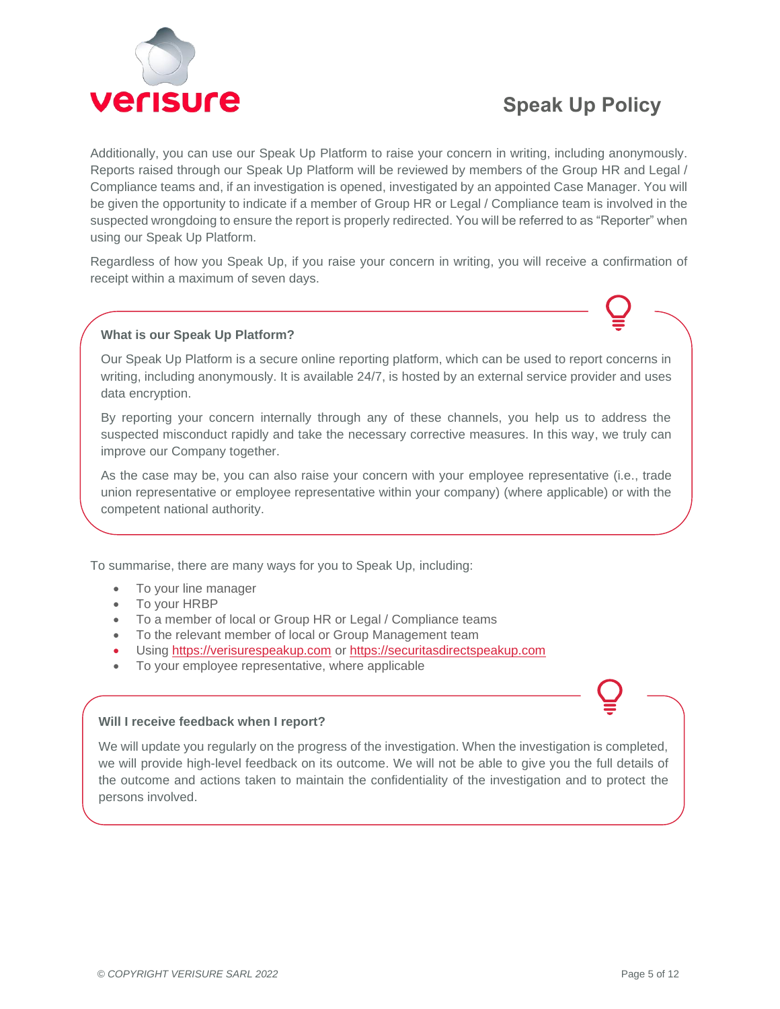

Additionally, you can use our Speak Up Platform to raise your concern in writing, including anonymously. Reports raised through our Speak Up Platform will be reviewed by members of the Group HR and Legal / Compliance teams and, if an investigation is opened, investigated by an appointed Case Manager. You will be given the opportunity to indicate if a member of Group HR or Legal / Compliance team is involved in the suspected wrongdoing to ensure the report is properly redirected. You will be referred to as "Reporter" when using our Speak Up Platform.

Regardless of how you Speak Up, if you raise your concern in writing, you will receive a confirmation of receipt within a maximum of seven days.

### **What is our Speak Up Platform?**

Our Speak Up Platform is a secure online reporting platform, which can be used to report concerns in writing, including anonymously. It is available 24/7, is hosted by an external service provider and uses data encryption.

By reporting your concern internally through any of these channels, you help us to address the suspected misconduct rapidly and take the necessary corrective measures. In this way, we truly can improve our Company together.

As the case may be, you can also raise your concern with your employee representative (i.e., trade union representative or employee representative within your company) (where applicable) or with the competent national authority.

To summarise, there are many ways for you to Speak Up, including:

- To your line manager
- To your HRBP
- To a member of local or Group HR or Legal / Compliance teams
- To the relevant member of local or Group Management team
- Using [https://verisurespeakup.com](https://verisurespeakup.com/) or [https://securitasdirectspeakup.com](https://securitasdirectspeakup.com/)
- To your employee representative, where applicable

### **Will I receive feedback when I report?**

We will update you regularly on the progress of the investigation. When the investigation is completed, we will provide high-level feedback on its outcome. We will not be able to give you the full details of the outcome and actions taken to maintain the confidentiality of the investigation and to protect the persons involved.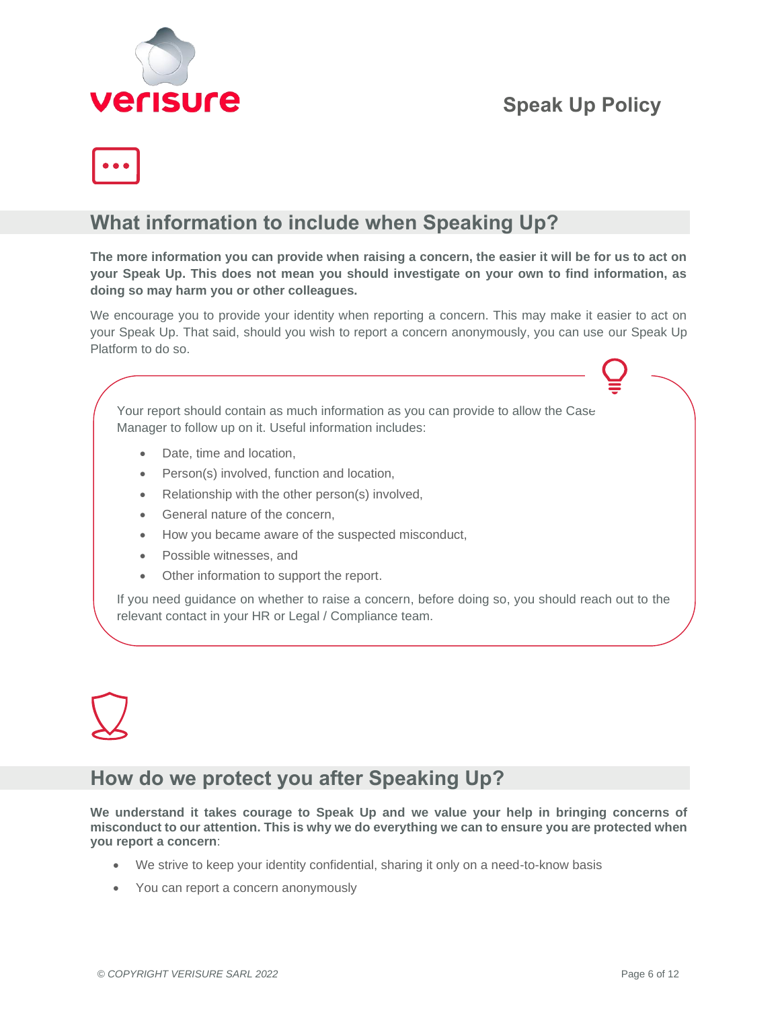



### **What information to include when Speaking Up?**

**The more information you can provide when raising a concern, the easier it will be for us to act on your Speak Up. This does not mean you should investigate on your own to find information, as doing so may harm you or other colleagues.**

We encourage you to provide your identity when reporting a concern. This may make it easier to act on your Speak Up. That said, should you wish to report a concern anonymously, you can use our Speak Up Platform to do so.

Your report should contain as much information as you can provide to allow the Case Manager to follow up on it. Useful information includes:

- Date, time and location,
- Person(s) involved, function and location,
- Relationship with the other person(s) involved,
- General nature of the concern.
- How you became aware of the suspected misconduct,
- Possible witnesses, and
- Other information to support the report.

If you need guidance on whether to raise a concern, before doing so, you should reach out to the relevant contact in your HR or Legal / Compliance team.

### **How do we protect you after Speaking Up?**

**We understand it takes courage to Speak Up and we value your help in bringing concerns of misconduct to our attention. This is why we do everything we can to ensure you are protected when you report a concern**:

- We strive to keep your identity confidential, sharing it only on a need-to-know basis
- You can report a concern anonymously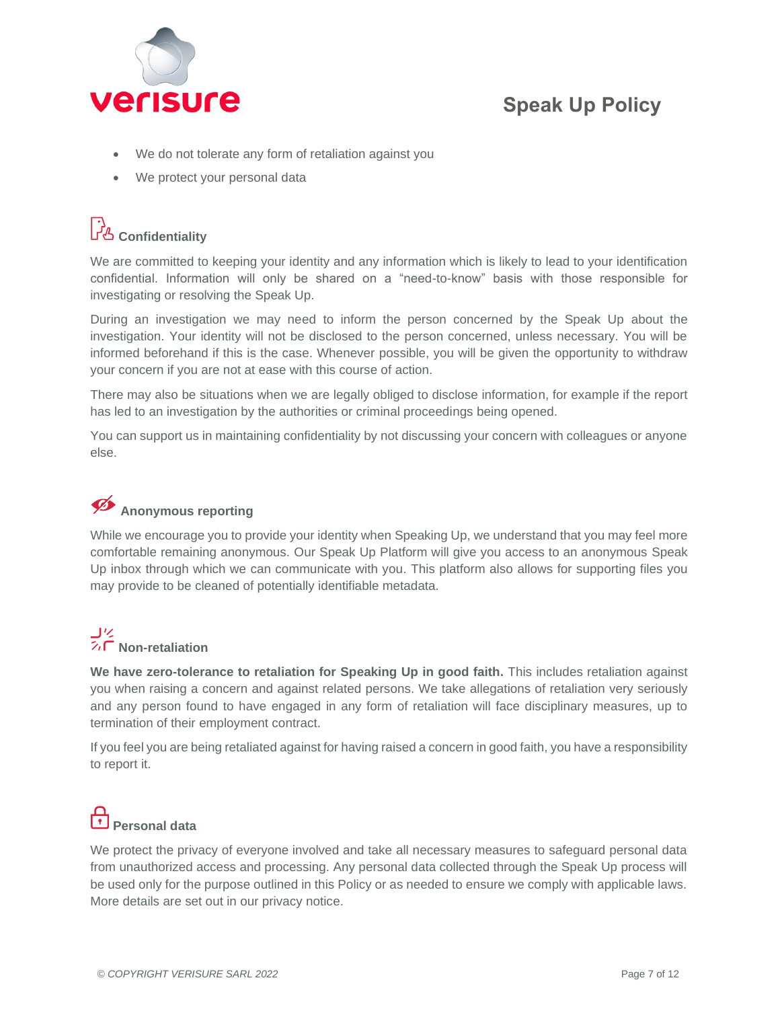

- We do not tolerate any form of retaliation against you
- We protect your personal data

# لن<mark>ے</mark><br>Confidentiality

We are committed to keeping your identity and any information which is likely to lead to your identification confidential. Information will only be shared on a "need-to-know" basis with those responsible for investigating or resolving the Speak Up.

During an investigation we may need to inform the person concerned by the Speak Up about the investigation. Your identity will not be disclosed to the person concerned, unless necessary. You will be informed beforehand if this is the case. Whenever possible, you will be given the opportunity to withdraw your concern if you are not at ease with this course of action.

There may also be situations when we are legally obliged to disclose information, for example if the report has led to an investigation by the authorities or criminal proceedings being opened.

You can support us in maintaining confidentiality by not discussing your concern with colleagues or anyone else.

### **Anonymous reporting**

While we encourage you to provide your identity when Speaking Up, we understand that you may feel more comfortable remaining anonymous. Our Speak Up Platform will give you access to an anonymous Speak Up inbox through which we can communicate with you. This platform also allows for supporting files you may provide to be cleaned of potentially identifiable metadata.

# **コ**ク<br>ス**口 Non-retaliation**

**We have zero-tolerance to retaliation for Speaking Up in good faith.** This includes retaliation against you when raising a concern and against related persons. We take allegations of retaliation very seriously and any person found to have engaged in any form of retaliation will face disciplinary measures, up to termination of their employment contract.

If you feel you are being retaliated against for having raised a concern in good faith, you have a responsibility to report it.

# **Personal data**

We protect the privacy of everyone involved and take all necessary measures to safeguard personal data from unauthorized access and processing. Any personal data collected through the Speak Up process will be used only for the purpose outlined in this Policy or as needed to ensure we comply with applicable laws. More details are set out in our privacy notice.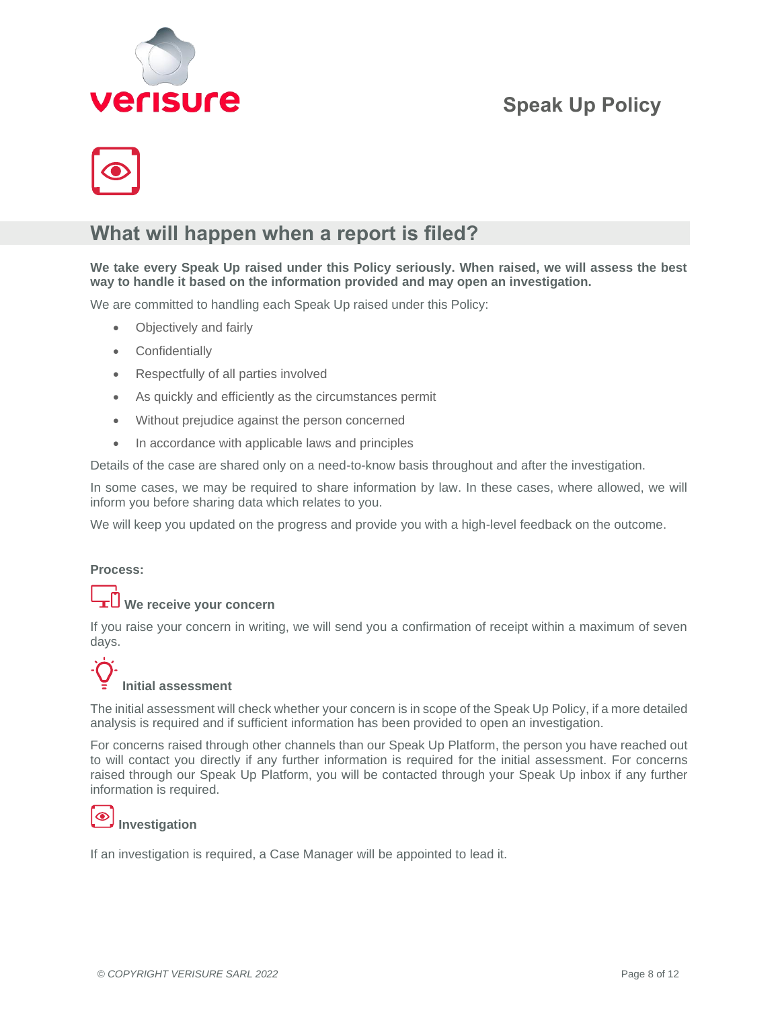



### **What will happen when a report is filed?**

**We take every Speak Up raised under this Policy seriously. When raised, we will assess the best way to handle it based on the information provided and may open an investigation.**

We are committed to handling each Speak Up raised under this Policy:

- Objectively and fairly
- Confidentially
- Respectfully of all parties involved
- As quickly and efficiently as the circumstances permit
- Without prejudice against the person concerned
- In accordance with applicable laws and principles

Details of the case are shared only on a need-to-know basis throughout and after the investigation.

In some cases, we may be required to share information by law. In these cases, where allowed, we will inform you before sharing data which relates to you.

We will keep you updated on the progress and provide you with a high-level feedback on the outcome.

### **Process:**

### **We receive your concern**

If you raise your concern in writing, we will send you a confirmation of receipt within a maximum of seven days.

# **Initial assessment**

The initial assessment will check whether your concern is in scope of the Speak Up Policy, if a more detailed analysis is required and if sufficient information has been provided to open an investigation.

For concerns raised through other channels than our Speak Up Platform, the person you have reached out to will contact you directly if any further information is required for the initial assessment. For concerns raised through our Speak Up Platform, you will be contacted through your Speak Up inbox if any further information is required.

#### $\bullet$ **Investigation**

If an investigation is required, a Case Manager will be appointed to lead it.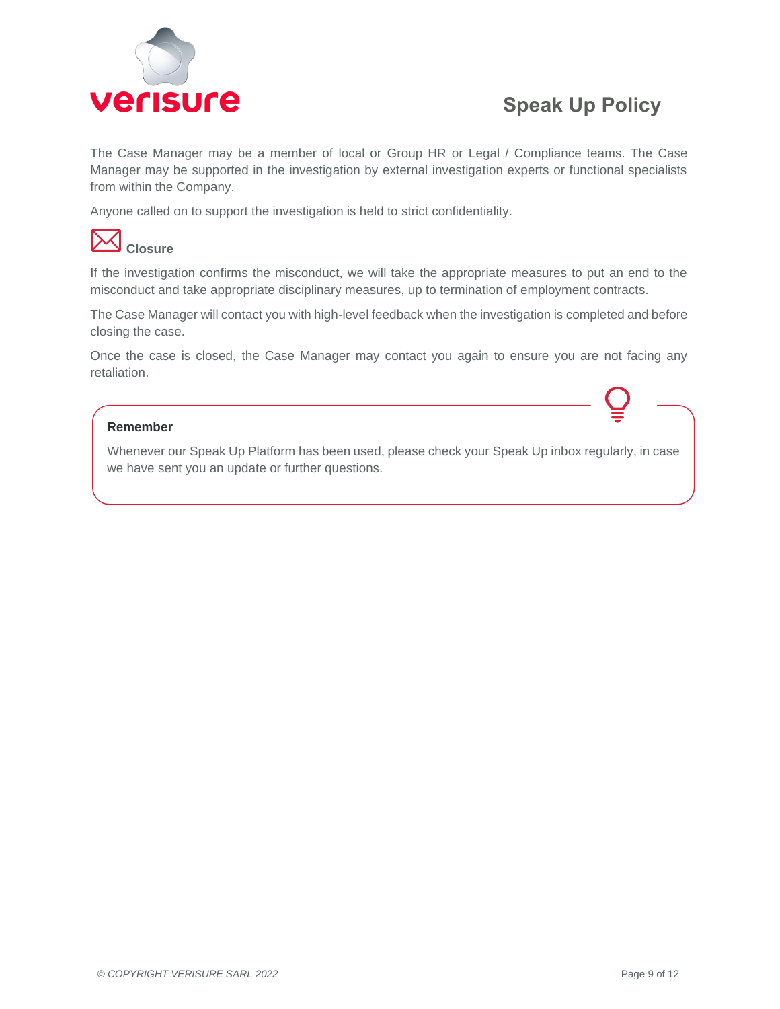

The Case Manager may be a member of local or Group HR or Legal / Compliance teams. The Case Manager may be supported in the investigation by external investigation experts or functional specialists from within the Company.

Anyone called on to support the investigation is held to strict confidentiality.



If the investigation confirms the misconduct, we will take the appropriate measures to put an end to the misconduct and take appropriate disciplinary measures, up to termination of employment contracts.

The Case Manager will contact you with high-level feedback when the investigation is completed and before closing the case.

Once the case is closed, the Case Manager may contact you again to ensure you are not facing any retaliation.

### **Remember**

Whenever our Speak Up Platform has been used, please check your Speak Up inbox regularly, in case we have sent you an update or further questions.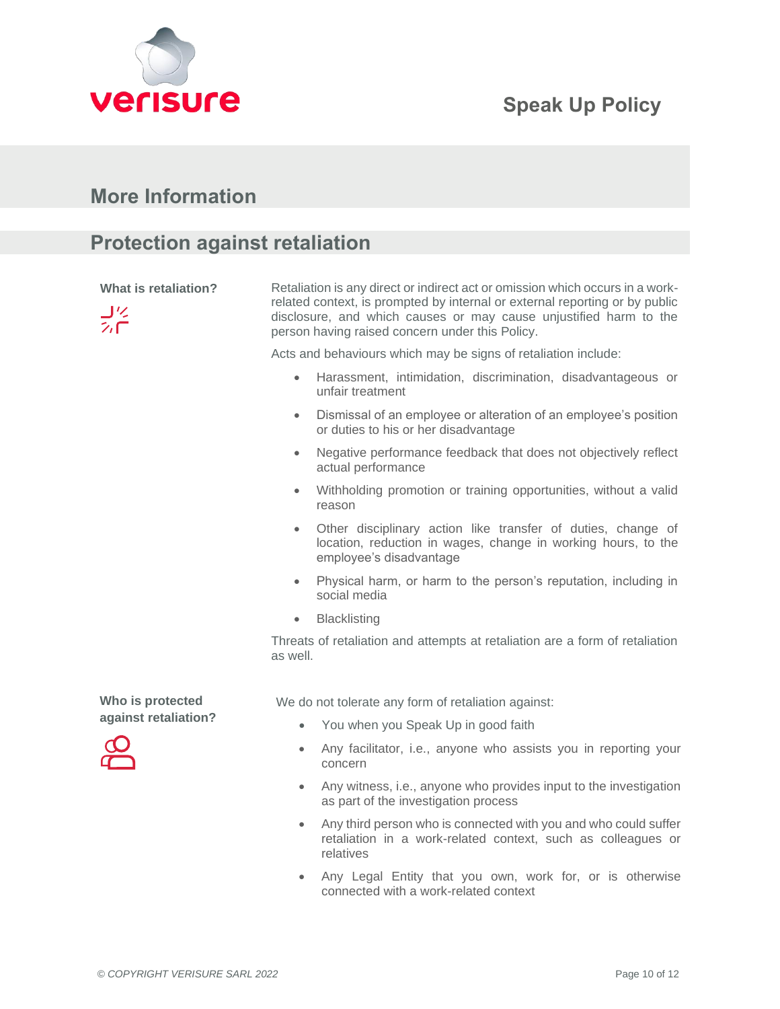



### **More Information**

### **Protection against retaliation**

**What is retaliation?**

コンニ

Retaliation is any direct or indirect act or omission which occurs in a workrelated context, is prompted by internal or external reporting or by public disclosure, and which causes or may cause unjustified harm to the person having raised concern under this Policy.

Acts and behaviours which may be signs of retaliation include:

- Harassment, intimidation, discrimination, disadvantageous or unfair treatment
- Dismissal of an employee or alteration of an employee's position or duties to his or her disadvantage
- Negative performance feedback that does not objectively reflect actual performance
- Withholding promotion or training opportunities, without a valid reason
- Other disciplinary action like transfer of duties, change of location, reduction in wages, change in working hours, to the employee's disadvantage
- Physical harm, or harm to the person's reputation, including in social media
- Blacklisting

Threats of retaliation and attempts at retaliation are a form of retaliation as well.

We do not tolerate any form of retaliation against:

- You when you Speak Up in good faith
- Any facilitator, i.e., anyone who assists you in reporting your concern
- Any witness, i.e., anyone who provides input to the investigation as part of the investigation process
- Any third person who is connected with you and who could suffer retaliation in a work-related context, such as colleagues or relatives
- Any Legal Entity that you own, work for, or is otherwise connected with a work-related context

**Who is protected against retaliation?**

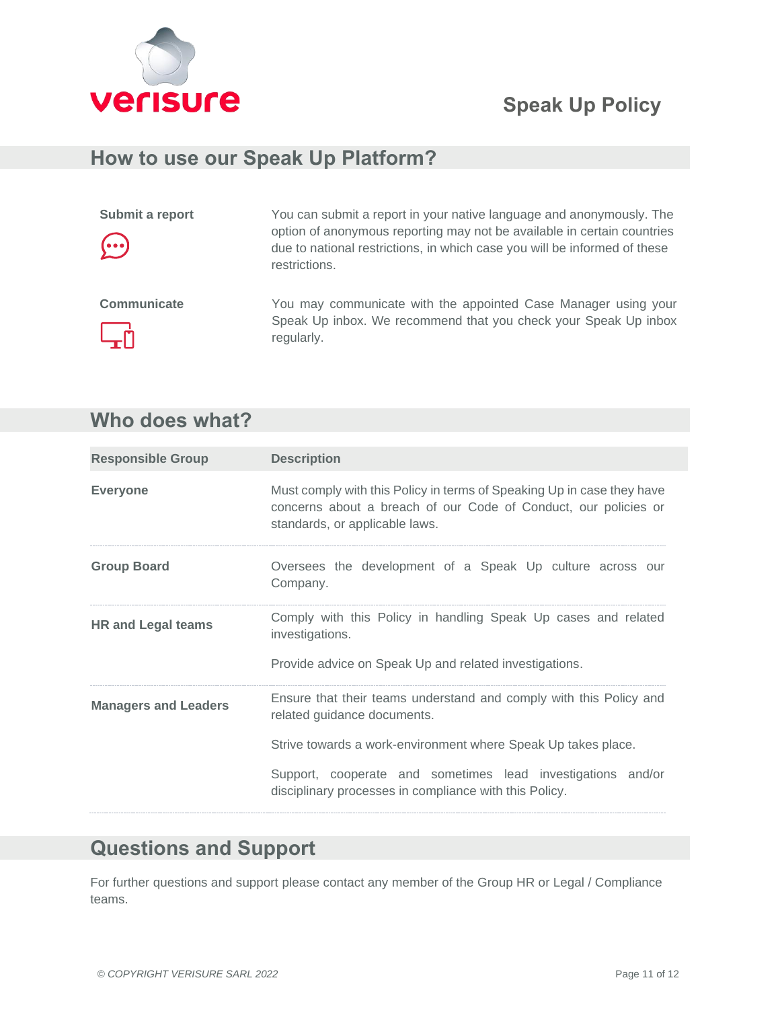

### **How to use our Speak Up Platform?**

| Submit a report<br>$\odot$ | You can submit a report in your native language and anonymously. The<br>option of anonymous reporting may not be available in certain countries<br>due to national restrictions, in which case you will be informed of these<br>restrictions. |
|----------------------------|-----------------------------------------------------------------------------------------------------------------------------------------------------------------------------------------------------------------------------------------------|
| Communicate<br>டூர்        | You may communicate with the appointed Case Manager using your<br>Speak Up inbox. We recommend that you check your Speak Up inbox<br>regularly.                                                                                               |

# **Who does what?**

| <b>Responsible Group</b>    | <b>Description</b>                                                                                                                                                          |  |
|-----------------------------|-----------------------------------------------------------------------------------------------------------------------------------------------------------------------------|--|
| <b>Everyone</b>             | Must comply with this Policy in terms of Speaking Up in case they have<br>concerns about a breach of our Code of Conduct, our policies or<br>standards, or applicable laws. |  |
| <b>Group Board</b>          | Oversees the development of a Speak Up culture across our<br>Company.                                                                                                       |  |
| <b>HR and Legal teams</b>   | Comply with this Policy in handling Speak Up cases and related<br>investigations.                                                                                           |  |
|                             | Provide advice on Speak Up and related investigations.                                                                                                                      |  |
| <b>Managers and Leaders</b> | Ensure that their teams understand and comply with this Policy and<br>related guidance documents.                                                                           |  |
|                             | Strive towards a work-environment where Speak Up takes place.                                                                                                               |  |
|                             | Support, cooperate and sometimes lead investigations and/or<br>disciplinary processes in compliance with this Policy.                                                       |  |

### **Questions and Support**

For further questions and support please contact any member of the Group HR or Legal / Compliance teams.